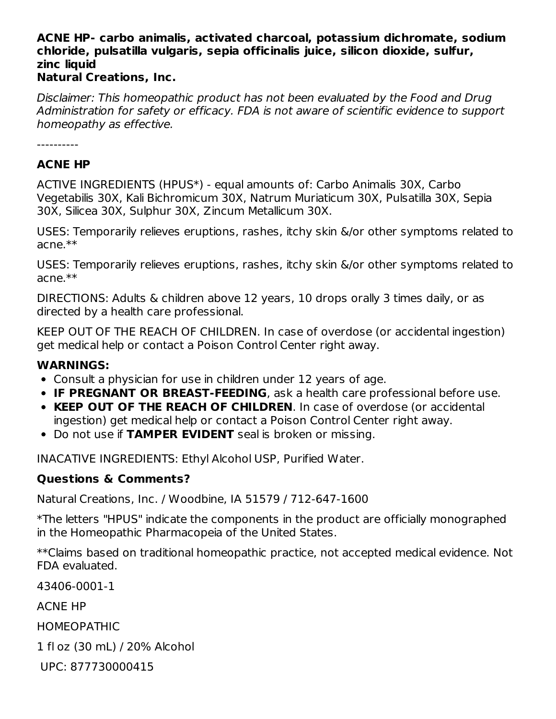## **ACNE HP- carbo animalis, activated charcoal, potassium dichromate, sodium chloride, pulsatilla vulgaris, sepia officinalis juice, silicon dioxide, sulfur, zinc liquid**

#### **Natural Creations, Inc.**

Disclaimer: This homeopathic product has not been evaluated by the Food and Drug Administration for safety or efficacy. FDA is not aware of scientific evidence to support homeopathy as effective.

----------

#### **ACNE HP**

ACTIVE INGREDIENTS (HPUS\*) - equal amounts of: Carbo Animalis 30X, Carbo Vegetabilis 30X, Kali Bichromicum 30X, Natrum Muriaticum 30X, Pulsatilla 30X, Sepia 30X, Silicea 30X, Sulphur 30X, Zincum Metallicum 30X.

USES: Temporarily relieves eruptions, rashes, itchy skin &/or other symptoms related to acne.\*\*

USES: Temporarily relieves eruptions, rashes, itchy skin &/or other symptoms related to acne.\*\*

DIRECTIONS: Adults & children above 12 years, 10 drops orally 3 times daily, or as directed by a health care professional.

KEEP OUT OF THE REACH OF CHILDREN. In case of overdose (or accidental ingestion) get medical help or contact a Poison Control Center right away.

#### **WARNINGS:**

- Consult a physician for use in children under 12 years of age.
- **IF PREGNANT OR BREAST-FEEDING**, ask a health care professional before use.
- **KEEP OUT OF THE REACH OF CHILDREN**. In case of overdose (or accidental ingestion) get medical help or contact a Poison Control Center right away.
- Do not use if **TAMPER EVIDENT** seal is broken or missing.

INACATIVE INGREDIENTS: Ethyl Alcohol USP, Purified Water.

### **Questions & Comments?**

Natural Creations, Inc. / Woodbine, IA 51579 / 712-647-1600

\*The letters "HPUS" indicate the components in the product are officially monographed in the Homeopathic Pharmacopeia of the United States.

\*\*Claims based on traditional homeopathic practice, not accepted medical evidence. Not FDA evaluated.

43406-0001-1

ACNE HP

HOMEOPATHIC

1 fl oz (30 mL) / 20% Alcohol

UPC: 877730000415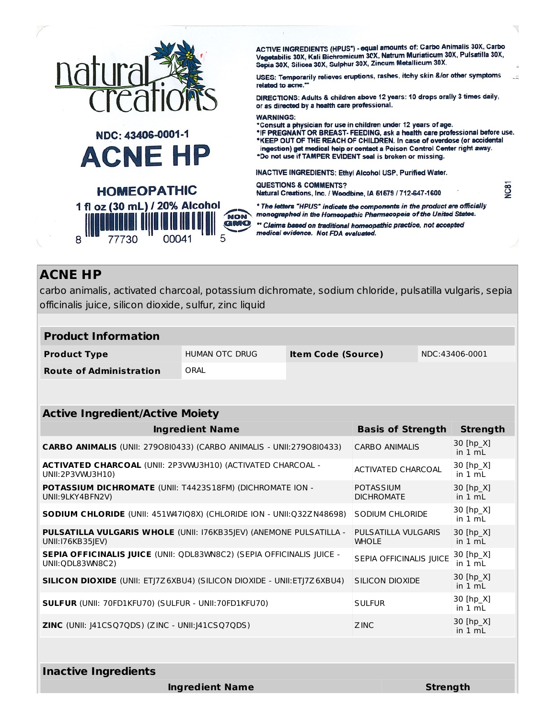|                                             | ACTIVE INGREDIENTS (HPUS*) - equal amounts of: Carbo Animalis 30X, Carbo<br>Vegetabilis 30X, Kali Bichromicum 30X, Natrum Muriaticum 30X, Pulsatilla 30X,<br>Sepia 30X, Silicea 30X, Sulphur 30X, Zincum Metallicum 30X.                                                                                                                                                                                                                                 |
|---------------------------------------------|----------------------------------------------------------------------------------------------------------------------------------------------------------------------------------------------------------------------------------------------------------------------------------------------------------------------------------------------------------------------------------------------------------------------------------------------------------|
| natural                                     | USES: Temporarily relieves eruptions, rashes, itchy skin &/or other symptoms<br>related to acne.**                                                                                                                                                                                                                                                                                                                                                       |
| creatio                                     | DIRECTIONS: Adults & children above 12 years: 10 drops orally 3 times daily,<br>or as directed by a health care professional.                                                                                                                                                                                                                                                                                                                            |
| NDC: 43406-0001-1<br><b>ACNE HP</b>         | <b>WARNINGS:</b><br>*Consult a physician for use in children under 12 years of age.<br>*IF PREGNANT OR BREAST-FEEDING, ask a health care professional before use.<br>*KEEP OUT OF THE REACH OF CHILDREN. In case of overdose (or accidental<br>ingestion) get medical help or contact a Poison Control Center right away.<br>*Do not use if TAMPER EVIDENT seal is broken or missing.<br><b>INACTIVE INGREDIENTS: Ethyl Alcohol USP, Purified Water.</b> |
| <b>HOMEOPATHIC</b>                          | VC81<br><b>QUESTIONS &amp; COMMENTS?</b><br>Natural Creations, Inc. / Woodbine, IA 51579 / 712-647-1600                                                                                                                                                                                                                                                                                                                                                  |
| 1 fl oz (30 mL) / 20% Alcohol<br><b>NON</b> | * The letters "HPUS" indicate the components in the product are officially<br>monographed in the Homeopathic Pharmacopeia of the United States.                                                                                                                                                                                                                                                                                                          |
|                                             | ** Claims based on traditional homeopathic practice, not accepted<br>medical evidence. Not FDA evaluated.                                                                                                                                                                                                                                                                                                                                                |
|                                             |                                                                                                                                                                                                                                                                                                                                                                                                                                                          |

# **ACNE HP**

carbo animalis, activated charcoal, potassium dichromate, sodium chloride, pulsatilla vulgaris, sepia officinalis juice, silicon dioxide, sulfur, zinc liquid

| <b>Product Information</b>     |                |                           |                |
|--------------------------------|----------------|---------------------------|----------------|
| <b>Product Type</b>            | HUMAN OTC DRUG | <b>Item Code (Source)</b> | NDC:43406-0001 |
| <b>Route of Administration</b> | ORAL           |                           |                |

| <b>Active Ingredient/Active Moiety</b>                                                     |                                       |                                |  |
|--------------------------------------------------------------------------------------------|---------------------------------------|--------------------------------|--|
| Ingredient Name                                                                            | <b>Basis of Strength</b>              | <b>Strength</b>                |  |
| <b>CARBO ANIMALIS</b> (UNII: 2790810433) (CARBO ANIMALIS - UNII:2790810433)                | <b>CARBO ANIMALIS</b>                 | 30 [hp_X]<br>in 1 mL           |  |
| <b>ACTIVATED CHARCOAL</b> (UNII: 2P3VWJ3H10) (ACTIVATED CHARCOAL -<br>UNII:2P3VWU3H10)     | ACTIVATED CHARCOAL                    | 30 [hp_X]<br>in $1 \text{ mL}$ |  |
| POTASSIUM DICHROMATE (UNII: T4423S18FM) (DICHROMATE ION -<br>UNII: 9LKY4BFN2V)             | <b>POTASSIUM</b><br><b>DICHROMATE</b> | 30 [hp X]<br>in $1 mL$         |  |
| <b>SODIUM CHLORIDE</b> (UNII: 451W47IQ8X) (CHLORIDE ION - UNII:Q32ZN48698)                 | <b>SODIUM CHLORIDE</b>                | 30 [hp X]<br>in 1 mL           |  |
| PULSATILLA VULGARIS WHOLE (UNII: 176KB35JEV) (ANEMONE PULSATILLA -<br>UNII:176KB35JEV)     | PULSATILLA VULGARIS<br><b>WHOLE</b>   | 30 [hp X]<br>in $1 \text{ mL}$ |  |
| SEPIA OFFICINALIS JUICE (UNII: QDL83WN8C2) (SEPIA OFFICINALIS JUICE -<br>UNII: QDL83WN8C2) | SEPIA OFFICINALIS JUICE               | 30 [hp_X]<br>in $1 \text{ mL}$ |  |
| SILICON DIOXIDE (UNII: ETJ7Z6XBU4) (SILICON DIOXIDE - UNII: ETJ7Z6XBU4)                    | SILICON DIOXIDE                       | 30 [hp X]<br>in $1 \text{ mL}$ |  |
| <b>SULFUR (UNII: 70FD1KFU70) (SULFUR - UNII:70FD1KFU70)</b>                                | <b>SULFUR</b>                         | 30 [hp X]<br>in $1 \text{ mL}$ |  |
| <b>ZINC</b> (UNII: $ 41CSQ7QDS $ ) (ZINC - UNII: $ 41CSQ7QDS $ )                           | <b>ZINC</b>                           | 30 [hp_X]<br>in $1 \text{ mL}$ |  |
|                                                                                            |                                       |                                |  |

**Inactive Ingredients**

**Ingredient Name Strength**